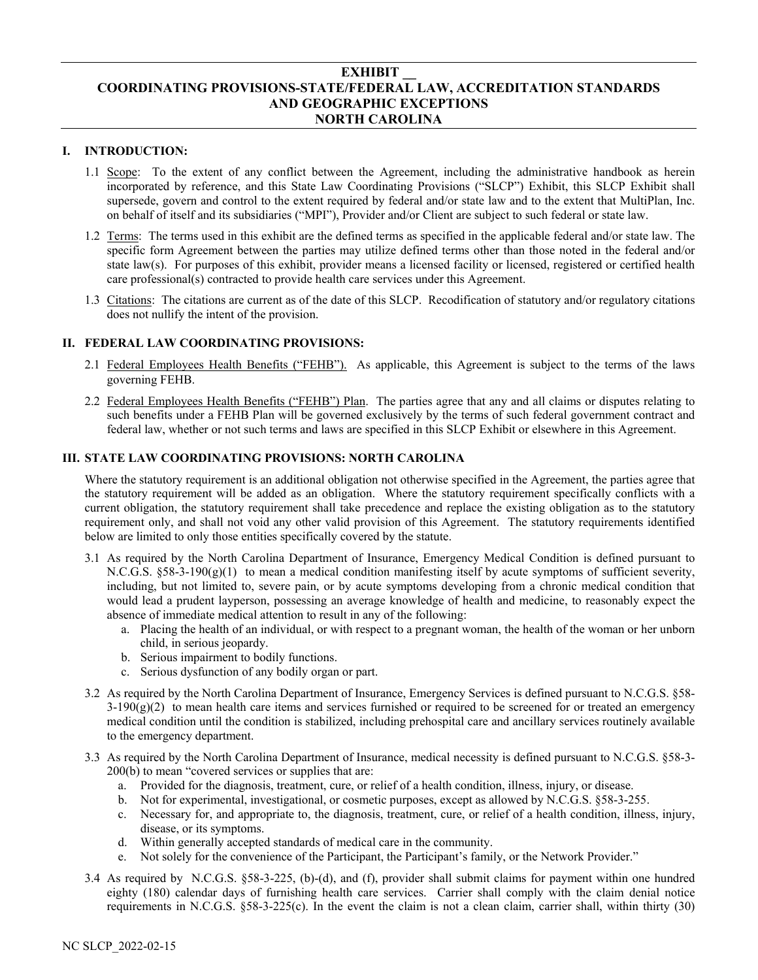# **EXHIBIT \_\_ COORDINATING PROVISIONS-STATE/FEDERAL LAW, ACCREDITATION STANDARDS AND GEOGRAPHIC EXCEPTIONS NORTH CAROLINA**

## **I. INTRODUCTION:**

- 1.1 Scope: To the extent of any conflict between the Agreement, including the administrative handbook as herein incorporated by reference, and this State Law Coordinating Provisions ("SLCP") Exhibit, this SLCP Exhibit shall supersede, govern and control to the extent required by federal and/or state law and to the extent that MultiPlan, Inc. on behalf of itself and its subsidiaries ("MPI"), Provider and/or Client are subject to such federal or state law.
- 1.2 Terms: The terms used in this exhibit are the defined terms as specified in the applicable federal and/or state law. The specific form Agreement between the parties may utilize defined terms other than those noted in the federal and/or state law(s). For purposes of this exhibit, provider means a licensed facility or licensed, registered or certified health care professional(s) contracted to provide health care services under this Agreement.
- 1.3 Citations: The citations are current as of the date of this SLCP. Recodification of statutory and/or regulatory citations does not nullify the intent of the provision.

### **II. FEDERAL LAW COORDINATING PROVISIONS:**

- 2.1 Federal Employees Health Benefits ("FEHB"). As applicable, this Agreement is subject to the terms of the laws governing FEHB.
- 2.2 Federal Employees Health Benefits ("FEHB") Plan. The parties agree that any and all claims or disputes relating to such benefits under a FEHB Plan will be governed exclusively by the terms of such federal government contract and federal law, whether or not such terms and laws are specified in this SLCP Exhibit or elsewhere in this Agreement.

### **III. STATE LAW COORDINATING PROVISIONS: NORTH CAROLINA**

Where the statutory requirement is an additional obligation not otherwise specified in the Agreement, the parties agree that the statutory requirement will be added as an obligation. Where the statutory requirement specifically conflicts with a current obligation, the statutory requirement shall take precedence and replace the existing obligation as to the statutory requirement only, and shall not void any other valid provision of this Agreement. The statutory requirements identified below are limited to only those entities specifically covered by the statute.

- 3.1 As required by the North Carolina Department of Insurance, Emergency Medical Condition is defined pursuant to N.C.G.S.  $§58-3-190(g)(1)$  to mean a medical condition manifesting itself by acute symptoms of sufficient severity, including, but not limited to, severe pain, or by acute symptoms developing from a chronic medical condition that would lead a prudent layperson, possessing an average knowledge of health and medicine, to reasonably expect the absence of immediate medical attention to result in any of the following:
	- a. Placing the health of an individual, or with respect to a pregnant woman, the health of the woman or her unborn child, in serious jeopardy.
	- b. Serious impairment to bodily functions.
	- c. Serious dysfunction of any bodily organ or part.
- 3.2 As required by the North Carolina Department of Insurance, Emergency Services is defined pursuant to N.C.G.S. §58-  $3-190(g)(2)$  to mean health care items and services furnished or required to be screened for or treated an emergency medical condition until the condition is stabilized, including prehospital care and ancillary services routinely available to the emergency department.
- 3.3 As required by the North Carolina Department of Insurance, medical necessity is defined pursuant to N.C.G.S. §58-3- 200(b) to mean "covered services or supplies that are:
	- a. Provided for the diagnosis, treatment, cure, or relief of a health condition, illness, injury, or disease.
	- b. Not for experimental, investigational, or cosmetic purposes, except as allowed by N.C.G.S. §58-3-255.
	- c. Necessary for, and appropriate to, the diagnosis, treatment, cure, or relief of a health condition, illness, injury, disease, or its symptoms.
	- d. Within generally accepted standards of medical care in the community.
	- e. Not solely for the convenience of the Participant, the Participant's family, or the Network Provider."
- 3.4 As required by N.C.G.S. §58-3-225, (b)-(d), and (f), provider shall submit claims for payment within one hundred eighty (180) calendar days of furnishing health care services. Carrier shall comply with the claim denial notice requirements in N.C.G.S. §58-3-225(c). In the event the claim is not a clean claim, carrier shall, within thirty (30)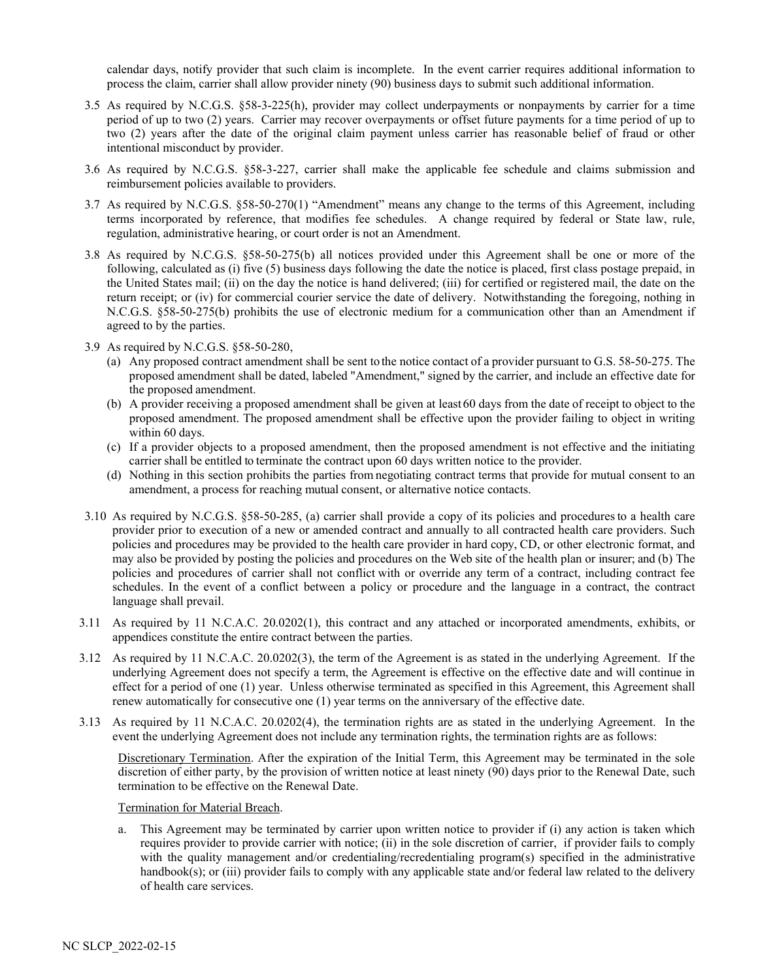calendar days, notify provider that such claim is incomplete. In the event carrier requires additional information to process the claim, carrier shall allow provider ninety (90) business days to submit such additional information.

- 3.5 As required by N.C.G.S. §58-3-225(h), provider may collect underpayments or nonpayments by carrier for a time period of up to two (2) years. Carrier may recover overpayments or offset future payments for a time period of up to two (2) years after the date of the original claim payment unless carrier has reasonable belief of fraud or other intentional misconduct by provider.
- 3.6 As required by N.C.G.S. §58-3-227, carrier shall make the applicable fee schedule and claims submission and reimbursement policies available to providers.
- 3.7 As required by N.C.G.S. §58-50-270(1) "Amendment" means any change to the terms of this Agreement, including terms incorporated by reference, that modifies fee schedules. A change required by federal or State law, rule, regulation, administrative hearing, or court order is not an Amendment.
- 3.8 As required by N.C.G.S. §58-50-275(b) all notices provided under this Agreement shall be one or more of the following, calculated as (i) five (5) business days following the date the notice is placed, first class postage prepaid, in the United States mail; (ii) on the day the notice is hand delivered; (iii) for certified or registered mail, the date on the return receipt; or (iv) for commercial courier service the date of delivery. Notwithstanding the foregoing, nothing in N.C.G.S. §58-50-275(b) prohibits the use of electronic medium for a communication other than an Amendment if agreed to by the parties.
- 3.9 As required by N.C.G.S. §58-50-280,
	- (a) Any proposed contract amendment shall be sent tothe notice contact of a provider pursuant to G.S. 58-50-275. The proposed amendment shall be dated, labeled "Amendment," signed by the carrier, and include an effective date for the proposed amendment.
	- (b) A provider receiving a proposed amendment shall be given at least 60 days from the date of receipt to object to the proposed amendment. The proposed amendment shall be effective upon the provider failing to object in writing within 60 days.
	- (c) If a provider objects to a proposed amendment, then the proposed amendment is not effective and the initiating carrier shall be entitled to terminate the contract upon 60 days written notice to the provider.
	- (d) Nothing in this section prohibits the parties from negotiating contract terms that provide for mutual consent to an amendment, a process for reaching mutual consent, or alternative notice contacts.
- 3.10 As required by N.C.G.S. §58-50-285, (a) carrier shall provide a copy of its policies and proceduresto a health care provider prior to execution of a new or amended contract and annually to all contracted health care providers. Such policies and procedures may be provided to the health care provider in hard copy, CD, or other electronic format, and may also be provided by posting the policies and procedures on the Web site of the health plan or insurer; and (b) The policies and procedures of carrier shall not conflict with or override any term of a contract, including contract fee schedules. In the event of a conflict between a policy or procedure and the language in a contract, the contract language shall prevail.
- 3.11 As required by 11 N.C.A.C. 20.0202(1), this contract and any attached or incorporated amendments, exhibits, or appendices constitute the entire contract between the parties.
- 3.12 As required by 11 N.C.A.C. 20.0202(3), the term of the Agreement is as stated in the underlying Agreement. If the underlying Agreement does not specify a term, the Agreement is effective on the effective date and will continue in effect for a period of one (1) year. Unless otherwise terminated as specified in this Agreement, this Agreement shall renew automatically for consecutive one (1) year terms on the anniversary of the effective date.
- 3.13 As required by 11 N.C.A.C. 20.0202(4), the termination rights are as stated in the underlying Agreement. In the event the underlying Agreement does not include any termination rights, the termination rights are as follows:

Discretionary Termination. After the expiration of the Initial Term, this Agreement may be terminated in the sole discretion of either party, by the provision of written notice at least ninety (90) days prior to the Renewal Date, such termination to be effective on the Renewal Date.

#### Termination for Material Breach.

This Agreement may be terminated by carrier upon written notice to provider if (i) any action is taken which requires provider to provide carrier with notice; (ii) in the sole discretion of carrier, if provider fails to comply with the quality management and/or credentialing/recredentialing program(s) specified in the administrative handbook(s); or (iii) provider fails to comply with any applicable state and/or federal law related to the delivery of health care services.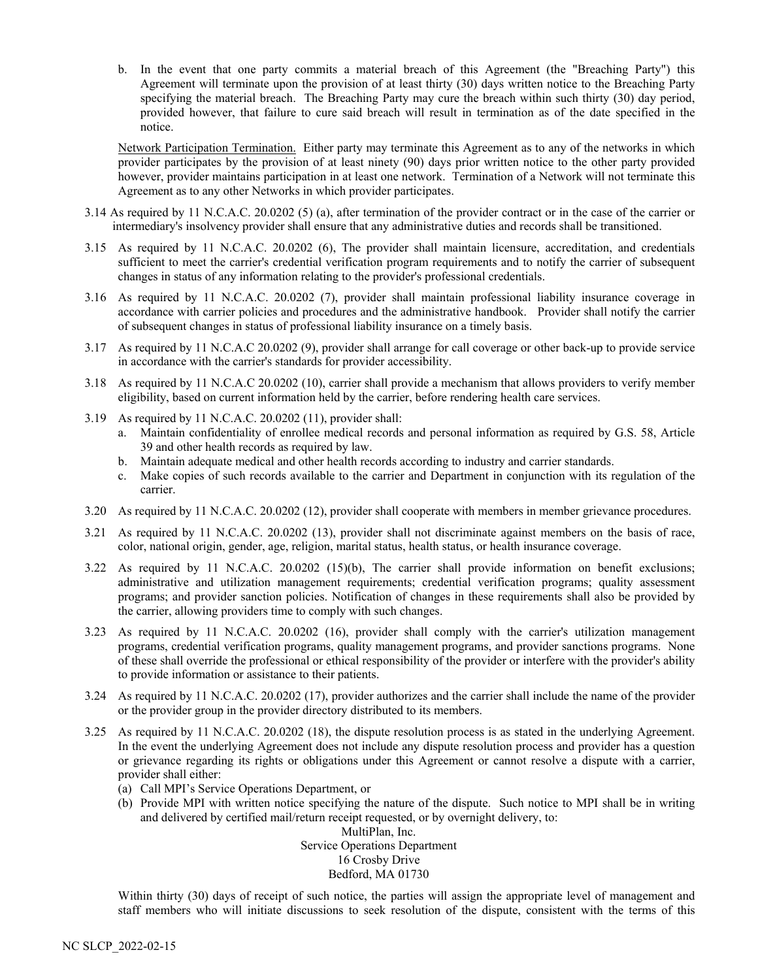b. In the event that one party commits a material breach of this Agreement (the "Breaching Party") this Agreement will terminate upon the provision of at least thirty (30) days written notice to the Breaching Party specifying the material breach. The Breaching Party may cure the breach within such thirty (30) day period, provided however, that failure to cure said breach will result in termination as of the date specified in the notice.

Network Participation Termination. Either party may terminate this Agreement as to any of the networks in which provider participates by the provision of at least ninety (90) days prior written notice to the other party provided however, provider maintains participation in at least one network. Termination of a Network will not terminate this Agreement as to any other Networks in which provider participates.

- 3.14 As required by 11 N.C.A.C. 20.0202 (5) (a), after termination of the provider contract or in the case of the carrier or intermediary's insolvency provider shall ensure that any administrative duties and records shall be transitioned.
- 3.15 As required by 11 N.C.A.C. 20.0202 (6), The provider shall maintain licensure, accreditation, and credentials sufficient to meet the carrier's credential verification program requirements and to notify the carrier of subsequent changes in status of any information relating to the provider's professional credentials.
- 3.16 As required by 11 N.C.A.C. 20.0202 (7), provider shall maintain professional liability insurance coverage in accordance with carrier policies and procedures and the administrative handbook. Provider shall notify the carrier of subsequent changes in status of professional liability insurance on a timely basis.
- 3.17 As required by 11 N.C.A.C 20.0202 (9), provider shall arrange for call coverage or other back-up to provide service in accordance with the carrier's standards for provider accessibility.
- 3.18 As required by 11 N.C.A.C 20.0202 (10), carrier shall provide a mechanism that allows providers to verify member eligibility, based on current information held by the carrier, before rendering health care services.
- 3.19 As required by 11 N.C.A.C. 20.0202 (11), provider shall:
	- a. Maintain confidentiality of enrollee medical records and personal information as required by G.S. 58, Article 39 and other health records as required by law.
	- b. Maintain adequate medical and other health records according to industry and carrier standards.
	- c. Make copies of such records available to the carrier and Department in conjunction with its regulation of the carrier.
- 3.20 As required by 11 N.C.A.C. 20.0202 (12), provider shall cooperate with members in member grievance procedures.
- 3.21 As required by 11 N.C.A.C. 20.0202 (13), provider shall not discriminate against members on the basis of race, color, national origin, gender, age, religion, marital status, health status, or health insurance coverage.
- 3.22 As required by 11 N.C.A.C. 20.0202 (15)(b), The carrier shall provide information on benefit exclusions; administrative and utilization management requirements; credential verification programs; quality assessment programs; and provider sanction policies. Notification of changes in these requirements shall also be provided by the carrier, allowing providers time to comply with such changes.
- 3.23 As required by 11 N.C.A.C. 20.0202 (16), provider shall comply with the carrier's utilization management programs, credential verification programs, quality management programs, and provider sanctions programs. None of these shall override the professional or ethical responsibility of the provider or interfere with the provider's ability to provide information or assistance to their patients.
- 3.24 As required by 11 N.C.A.C. 20.0202 (17), provider authorizes and the carrier shall include the name of the provider or the provider group in the provider directory distributed to its members.
- 3.25 As required by 11 N.C.A.C. 20.0202 (18), the dispute resolution process is as stated in the underlying Agreement. In the event the underlying Agreement does not include any dispute resolution process and provider has a question or grievance regarding its rights or obligations under this Agreement or cannot resolve a dispute with a carrier, provider shall either:
	- (a) Call MPI's Service Operations Department, or
	- (b) Provide MPI with written notice specifying the nature of the dispute. Such notice to MPI shall be in writing and delivered by certified mail/return receipt requested, or by overnight delivery, to:

MultiPlan, Inc. Service Operations Department 16 Crosby Drive Bedford, MA 01730

Within thirty (30) days of receipt of such notice, the parties will assign the appropriate level of management and staff members who will initiate discussions to seek resolution of the dispute, consistent with the terms of this